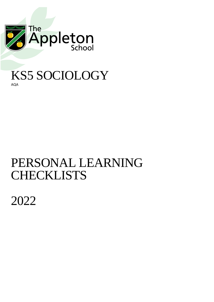

## KS5 SOCIOLOGY AQA

## PERSONAL LEARNING **CHECKLISTS**

2022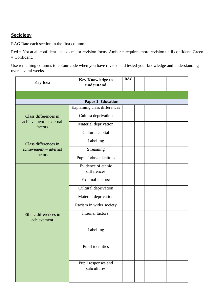## **Sociology**

RAG Rate each section in the first column

Red = Not at all confident – needs major revision focus, Amber = requires more revision until confident. Green  $=$  Confident.

Use remaining columns to colour code when you have revised and tested your knowledge and understanding over several weeks.

| Key Idea                             | <b>Key Knowledge to</b><br>understand | <b>RAG</b> |  |  |  |
|--------------------------------------|---------------------------------------|------------|--|--|--|
|                                      |                                       |            |  |  |  |
|                                      | <b>Paper 1: Education</b>             |            |  |  |  |
|                                      | Explaining class differences          |            |  |  |  |
| Class differences in                 | Cultura deprivation                   |            |  |  |  |
| achievement - external<br>factors    | Material deprivation                  |            |  |  |  |
|                                      | Cultural capital                      |            |  |  |  |
| Class differences in                 | Labelling                             |            |  |  |  |
| achievement - internal               | Streaming                             |            |  |  |  |
| factors                              | Pupils' class identities              |            |  |  |  |
|                                      | Evidence of ethnic<br>differences     |            |  |  |  |
|                                      | <b>External factors:</b>              |            |  |  |  |
|                                      | Cultural deprivation                  |            |  |  |  |
|                                      | Material deprivation                  |            |  |  |  |
|                                      | Racism in wider society               |            |  |  |  |
| Ethnic differences in<br>achievement | Internal factors:                     |            |  |  |  |
|                                      | Labelling                             |            |  |  |  |
|                                      | Pupil identities                      |            |  |  |  |
|                                      | Pupil responses and<br>subcultures    |            |  |  |  |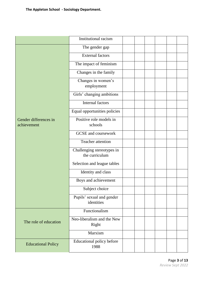|                                      | Institutional racism                         |  |  |  |
|--------------------------------------|----------------------------------------------|--|--|--|
|                                      | The gender gap                               |  |  |  |
|                                      | <b>External factors</b>                      |  |  |  |
|                                      | The impact of feminism                       |  |  |  |
|                                      | Changes in the family                        |  |  |  |
|                                      | Changes in women's<br>employment             |  |  |  |
|                                      | Girls' changing ambitions                    |  |  |  |
|                                      | Internal factors                             |  |  |  |
|                                      | Equal opportunities policies                 |  |  |  |
| Gender differences in<br>achievement | Positive role models in<br>schools           |  |  |  |
|                                      | <b>GCSE</b> and coursework                   |  |  |  |
|                                      | Teacher attention                            |  |  |  |
|                                      | Challenging stereotypes in<br>the curriculum |  |  |  |
|                                      | Selection and league tables                  |  |  |  |
|                                      | Identity and class                           |  |  |  |
|                                      | Boys and achievement                         |  |  |  |
|                                      | Subject choice                               |  |  |  |
|                                      | Pupils' sexual and gender<br>identities      |  |  |  |
|                                      | Functionalism                                |  |  |  |
| The role of education                | Neo-liberalism and the New<br>Right          |  |  |  |
|                                      | Marxism                                      |  |  |  |
| <b>Educational Policy</b>            | Educational policy before<br>1988            |  |  |  |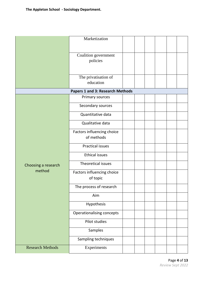|                         | Marketization                    |  |  |
|-------------------------|----------------------------------|--|--|
|                         |                                  |  |  |
|                         |                                  |  |  |
|                         | Coalition government             |  |  |
|                         | policies                         |  |  |
|                         |                                  |  |  |
|                         |                                  |  |  |
|                         | The privatisation of             |  |  |
|                         | education                        |  |  |
|                         | Papers 1 and 3: Research Methods |  |  |
|                         | Primary sources                  |  |  |
|                         |                                  |  |  |
|                         | Secondary sources                |  |  |
|                         | Quantitative data                |  |  |
|                         | Qualitative data                 |  |  |
|                         | Factors influencing choice       |  |  |
|                         | of methods                       |  |  |
|                         | <b>Practical issues</b>          |  |  |
|                         | <b>Ethical issues</b>            |  |  |
|                         |                                  |  |  |
| Choosing a research     | Theoretical issues               |  |  |
| method                  | Factors influencing choice       |  |  |
|                         | of topic                         |  |  |
|                         | The process of research          |  |  |
|                         | Aim                              |  |  |
|                         | Hypothesis                       |  |  |
|                         | Operationalising concepts        |  |  |
|                         |                                  |  |  |
|                         | Pilot studies                    |  |  |
|                         | Samples                          |  |  |
|                         | Sampling techniques              |  |  |
| <b>Research Methods</b> |                                  |  |  |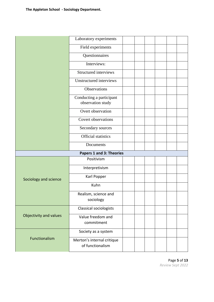|                        | Laboratory experiments                         |  |  |  |
|------------------------|------------------------------------------------|--|--|--|
|                        | Field experiments                              |  |  |  |
|                        | Questionnaires                                 |  |  |  |
|                        | Interviews:                                    |  |  |  |
|                        | Structured interviews                          |  |  |  |
|                        | Unstructured interviews                        |  |  |  |
|                        | Observations                                   |  |  |  |
|                        | Conducting a participant<br>observation study  |  |  |  |
|                        | Overt observation                              |  |  |  |
|                        | <b>Covert observations</b>                     |  |  |  |
|                        | Secondary sources                              |  |  |  |
|                        | <b>Official statistics</b>                     |  |  |  |
|                        | Documents                                      |  |  |  |
|                        | <b>Papers 1 and 3: Theories</b>                |  |  |  |
|                        | Positivism                                     |  |  |  |
|                        | Interpretivism                                 |  |  |  |
| Sociology and science  | Karl Popper                                    |  |  |  |
|                        | Kuhn                                           |  |  |  |
|                        | Realism, science and<br>sociology              |  |  |  |
|                        | Classical sociologists                         |  |  |  |
| Objectivity and values | Value freedom and<br>commitment                |  |  |  |
|                        | Society as a system                            |  |  |  |
| Functionalism          | Merton's internal critique<br>of functionalism |  |  |  |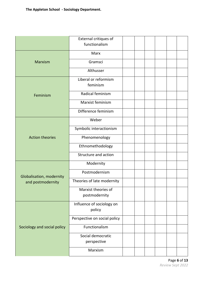|                             | External critiques of<br>functionalism |  |  |  |
|-----------------------------|----------------------------------------|--|--|--|
|                             | Marx                                   |  |  |  |
| Marxism                     | Gramsci                                |  |  |  |
|                             | Althusser                              |  |  |  |
|                             | Liberal or reformism<br>feminism       |  |  |  |
| Feminism                    | Radical feminism                       |  |  |  |
|                             | Marxist feminism                       |  |  |  |
|                             | Difference feminism                    |  |  |  |
|                             | Weber                                  |  |  |  |
| <b>Action theories</b>      | Symbolic interactionism                |  |  |  |
|                             | Phenomenology                          |  |  |  |
|                             | Ethnomethodology                       |  |  |  |
|                             | Structure and action                   |  |  |  |
|                             | Modernity                              |  |  |  |
| Globalisation, modernity    | Postmodernism                          |  |  |  |
| and postmodernity           | Theories of late modernity             |  |  |  |
|                             | Marxist theories of<br>postmodernity   |  |  |  |
|                             | Influence of sociology on<br>policy    |  |  |  |
|                             | Perspective on social policy           |  |  |  |
| Sociology and social policy | Functionalism                          |  |  |  |
|                             | Social democratic<br>perspective       |  |  |  |
|                             | Marxism                                |  |  |  |

Page **6** of **13** *Review Sept 2022*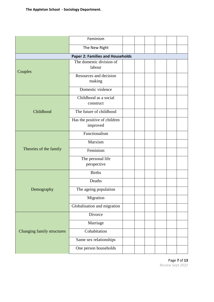|                            | Feminism                                 |  |  |  |
|----------------------------|------------------------------------------|--|--|--|
|                            | The New Right                            |  |  |  |
|                            | <b>Paper 2: Families and Households</b>  |  |  |  |
| Couples                    | The domestic division of<br>labour       |  |  |  |
|                            | Resources and decision<br>making         |  |  |  |
|                            | Domestic violence                        |  |  |  |
|                            | Childhood as a social<br>construct       |  |  |  |
| Childhood                  | The future of childhood                  |  |  |  |
|                            | Has the positive of children<br>improved |  |  |  |
|                            | Functionalism                            |  |  |  |
|                            | Marxism                                  |  |  |  |
| Theories of the family     | Feminism                                 |  |  |  |
|                            | The personal life<br>perspective         |  |  |  |
|                            | <b>Births</b>                            |  |  |  |
|                            | Deaths                                   |  |  |  |
| Demography                 | The ageing population                    |  |  |  |
|                            | Migration                                |  |  |  |
|                            | Globalisation and migration              |  |  |  |
|                            | Divorce                                  |  |  |  |
|                            | Marriage                                 |  |  |  |
| Changing family structures | Cohabitation                             |  |  |  |
|                            | Same sex relationships                   |  |  |  |
|                            | One person households                    |  |  |  |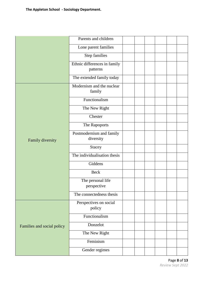|                            | Parents and children                     |  |  |
|----------------------------|------------------------------------------|--|--|
|                            | Lone parent families                     |  |  |
|                            | Step families                            |  |  |
|                            | Ethnic differences in family<br>patterns |  |  |
|                            | The extended family today                |  |  |
|                            | Modernism and the nuclear<br>family      |  |  |
| Family diversity           | Functionalism                            |  |  |
|                            | The New Right                            |  |  |
|                            | Chester                                  |  |  |
|                            | The Rapoports                            |  |  |
|                            | Postmodernism and family<br>diversity    |  |  |
|                            | <b>Stacey</b>                            |  |  |
|                            | The individualisation thesis             |  |  |
|                            | Giddens                                  |  |  |
|                            | <b>Beck</b>                              |  |  |
|                            | The personal life<br>perspective         |  |  |
|                            | The connectedness thesis                 |  |  |
|                            | Perspectives on social<br>policy         |  |  |
|                            | Functionalism                            |  |  |
| Families and social policy | Donzelot                                 |  |  |
|                            | The New Right                            |  |  |
|                            | Feminism                                 |  |  |
|                            | Gender regimes                           |  |  |

Page **8** of **13** *Review Sept 2022*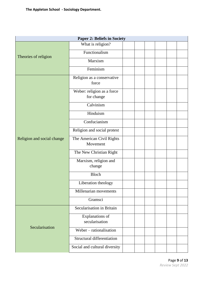|                            | <b>Paper 2: Beliefs in Society</b>       |  |  |  |
|----------------------------|------------------------------------------|--|--|--|
|                            | What is religion?                        |  |  |  |
| Theories of religion       | Functionalism                            |  |  |  |
|                            | Marxism                                  |  |  |  |
|                            | Feminism                                 |  |  |  |
|                            | Religion as a conservative<br>force      |  |  |  |
|                            | Weber: religion as a force<br>for change |  |  |  |
|                            | Calvinism                                |  |  |  |
|                            | Hinduism                                 |  |  |  |
|                            | Confucianism                             |  |  |  |
|                            | Religion and social protest              |  |  |  |
| Religion and social change | The American Civil Rights<br>Movement    |  |  |  |
|                            | The New Christian Right                  |  |  |  |
|                            | Marxism, religion and<br>change          |  |  |  |
|                            | <b>Bloch</b>                             |  |  |  |
|                            | Liberation theology                      |  |  |  |
|                            | Millenarian movements                    |  |  |  |
|                            | Gramsci                                  |  |  |  |
|                            | Secularisation in Britain                |  |  |  |
|                            | Explanations of<br>secularisation        |  |  |  |
| Secularisation             | Weber – rationalisation                  |  |  |  |
|                            | Structural differentiation               |  |  |  |
|                            | Social and cultural diversity            |  |  |  |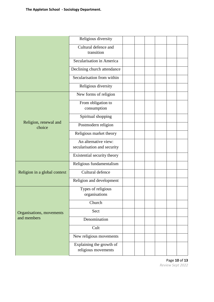|                                 | Religious diversity                             |  |  |
|---------------------------------|-------------------------------------------------|--|--|
|                                 | Cultural defence and                            |  |  |
|                                 | transition                                      |  |  |
|                                 | Secularisation in America                       |  |  |
|                                 | Declining church attendance                     |  |  |
|                                 | Secularisation from within                      |  |  |
|                                 | Religious diversity                             |  |  |
|                                 | New forms of religion                           |  |  |
|                                 | From obligation to<br>consumption               |  |  |
|                                 | Spiritual shopping                              |  |  |
| Religion, renewal and<br>choice | Postmodern religion                             |  |  |
|                                 | Religious market theory                         |  |  |
|                                 | An alternative view:                            |  |  |
|                                 | secularisation and security                     |  |  |
|                                 | Existential security theory                     |  |  |
|                                 | Religious fundamentalism                        |  |  |
| Religion in a global context    | Cultural defence                                |  |  |
|                                 | Religion and development                        |  |  |
|                                 | Types of religious<br>organisations             |  |  |
|                                 | Church                                          |  |  |
| Organisations, movements        | Sect                                            |  |  |
| and members                     | Denomination                                    |  |  |
|                                 | Cult                                            |  |  |
|                                 | New religious movements                         |  |  |
|                                 | Explaining the growth of<br>religious movements |  |  |
|                                 |                                                 |  |  |

Page **10** of **13** *Review Sept 2022*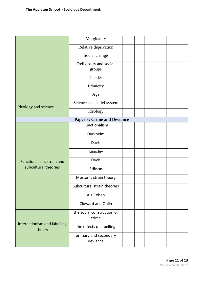|                                        | Marginality                         |  |  |  |  |  |  |  |
|----------------------------------------|-------------------------------------|--|--|--|--|--|--|--|
|                                        | Relative deprivation                |  |  |  |  |  |  |  |
|                                        | Social change                       |  |  |  |  |  |  |  |
|                                        | Religiosity and social              |  |  |  |  |  |  |  |
|                                        | groups                              |  |  |  |  |  |  |  |
|                                        | Gender                              |  |  |  |  |  |  |  |
|                                        | Ethnicity                           |  |  |  |  |  |  |  |
|                                        | Age                                 |  |  |  |  |  |  |  |
| Ideology and science                   | Science as a belief system          |  |  |  |  |  |  |  |
|                                        | Ideology                            |  |  |  |  |  |  |  |
| <b>Paper 3: Crime and Deviance</b>     |                                     |  |  |  |  |  |  |  |
|                                        | Functionalism                       |  |  |  |  |  |  |  |
|                                        | Durkheim                            |  |  |  |  |  |  |  |
|                                        | Davis                               |  |  |  |  |  |  |  |
|                                        | Kingsley                            |  |  |  |  |  |  |  |
| Functionalism, strain and              | Davis                               |  |  |  |  |  |  |  |
| subcultural theories                   | Erikson                             |  |  |  |  |  |  |  |
|                                        | Merton's strain theory              |  |  |  |  |  |  |  |
|                                        | Subcultural strain theories         |  |  |  |  |  |  |  |
|                                        | A K Cohen                           |  |  |  |  |  |  |  |
|                                        | Cloward and Ohlin                   |  |  |  |  |  |  |  |
|                                        | the social construction of<br>crime |  |  |  |  |  |  |  |
| Interactionism and labelling<br>theory | the effects of labelling            |  |  |  |  |  |  |  |
|                                        | primary and secondary<br>deviance   |  |  |  |  |  |  |  |

Page **11** of **13** *Review Sept 2022*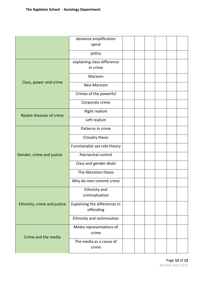|                              | deviance amplification<br>spiral           |  |  |  |
|------------------------------|--------------------------------------------|--|--|--|
|                              | policy                                     |  |  |  |
|                              | explaining class difference<br>in crime    |  |  |  |
|                              | Marxism                                    |  |  |  |
| Class, power and crime       | Neo-Marxism                                |  |  |  |
|                              | Crimes of the powerful                     |  |  |  |
|                              | Corporate crime                            |  |  |  |
| Realist theories of crime    | Right realism                              |  |  |  |
|                              | Left realism                               |  |  |  |
|                              | Patterns in crime                          |  |  |  |
|                              | Chivalry thesis                            |  |  |  |
|                              | Functionalist sex role theory              |  |  |  |
| Gender, crime and justice    | Patriarchal control                        |  |  |  |
|                              | Class and gender deals                     |  |  |  |
|                              | The liberation thesis                      |  |  |  |
|                              | Why do men commit crime                    |  |  |  |
|                              | Ethnicity and<br>criminalisation           |  |  |  |
| Ethnicity, crime and justice | Explaining the differences in<br>offending |  |  |  |
|                              | Ethnicity and victimisation                |  |  |  |
| Crime and the media          | Media representations of<br>crime          |  |  |  |
|                              | The media as a cause of<br>crime           |  |  |  |